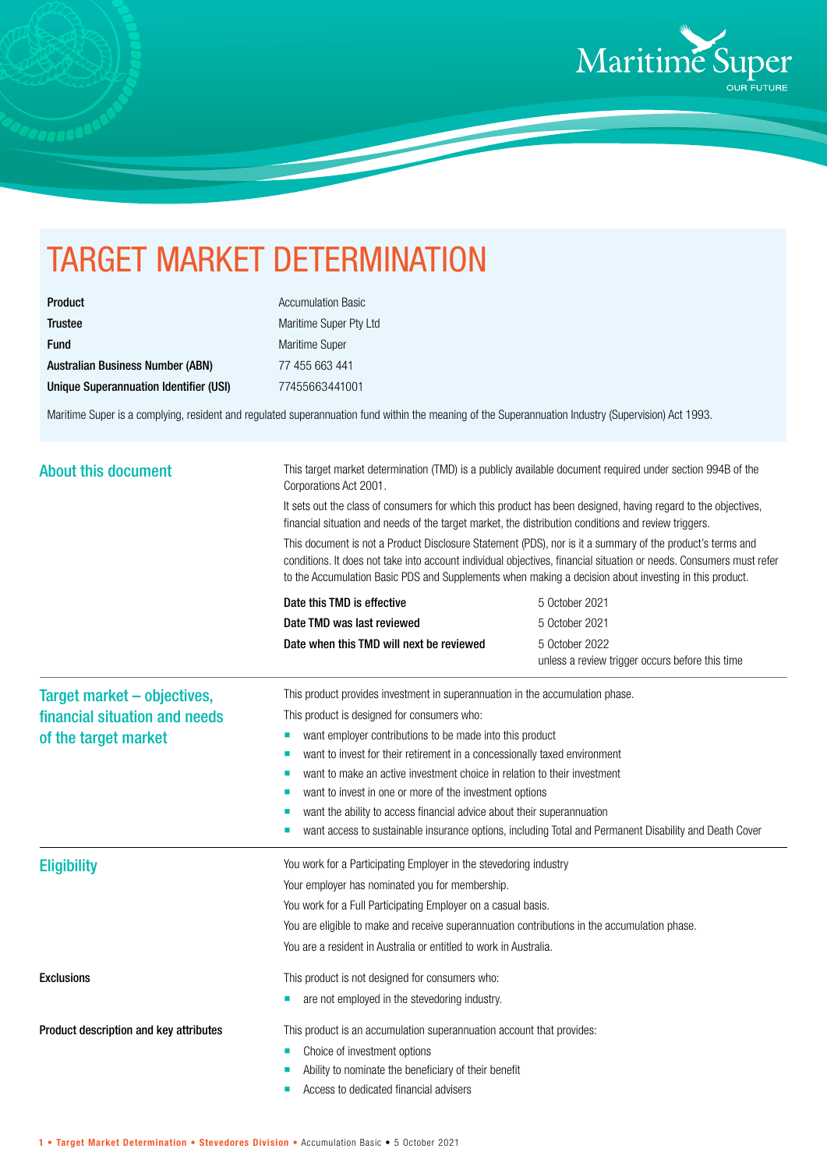

## TARGET MARKET DETERMINATION

| <b>Product</b>                          |
|-----------------------------------------|
| <b>Trustee</b>                          |
| <b>Fund</b>                             |
| <b>Australian Business Number (ABN)</b> |
| Unique Superannuation Identifier (USI)  |

**Accumulation Basic** Maritime Super Pty Ltd Maritime Super 77 455 663 441 Unique Superannuation Identifier (USI) 77455663441001

Maritime Super is a complying, resident and regulated superannuation fund within the meaning of the Superannuation Industry (Supervision) Act 1993.

| <b>About this document</b>             | This target market determination (TMD) is a publicly available document required under section 994B of the<br>Corporations Act 2001.<br>It sets out the class of consumers for which this product has been designed, having regard to the objectives,<br>financial situation and needs of the target market, the distribution conditions and review triggers. |                                                                                                        |  |
|----------------------------------------|---------------------------------------------------------------------------------------------------------------------------------------------------------------------------------------------------------------------------------------------------------------------------------------------------------------------------------------------------------------|--------------------------------------------------------------------------------------------------------|--|
|                                        | This document is not a Product Disclosure Statement (PDS), nor is it a summary of the product's terms and<br>conditions. It does not take into account individual objectives, financial situation or needs. Consumers must refer<br>to the Accumulation Basic PDS and Supplements when making a decision about investing in this product.                     |                                                                                                        |  |
|                                        | Date this TMD is effective                                                                                                                                                                                                                                                                                                                                    | 5 October 2021                                                                                         |  |
|                                        | Date TMD was last reviewed                                                                                                                                                                                                                                                                                                                                    | 5 October 2021                                                                                         |  |
|                                        | Date when this TMD will next be reviewed                                                                                                                                                                                                                                                                                                                      | 5 October 2022<br>unless a review trigger occurs before this time                                      |  |
| Target market - objectives,            | This product provides investment in superannuation in the accumulation phase.                                                                                                                                                                                                                                                                                 |                                                                                                        |  |
| financial situation and needs          | This product is designed for consumers who:                                                                                                                                                                                                                                                                                                                   |                                                                                                        |  |
| of the target market                   | want employer contributions to be made into this product<br>ш                                                                                                                                                                                                                                                                                                 |                                                                                                        |  |
|                                        | want to invest for their retirement in a concessionally taxed environment<br>п                                                                                                                                                                                                                                                                                |                                                                                                        |  |
|                                        | want to make an active investment choice in relation to their investment<br>п                                                                                                                                                                                                                                                                                 |                                                                                                        |  |
|                                        | want to invest in one or more of the investment options<br>■<br>want the ability to access financial advice about their superannuation                                                                                                                                                                                                                        |                                                                                                        |  |
|                                        |                                                                                                                                                                                                                                                                                                                                                               | want access to sustainable insurance options, including Total and Permanent Disability and Death Cover |  |
| <b>Eligibility</b>                     | You work for a Participating Employer in the stevedoring industry                                                                                                                                                                                                                                                                                             |                                                                                                        |  |
|                                        | Your employer has nominated you for membership.                                                                                                                                                                                                                                                                                                               |                                                                                                        |  |
|                                        | You work for a Full Participating Employer on a casual basis.                                                                                                                                                                                                                                                                                                 |                                                                                                        |  |
|                                        | You are eligible to make and receive superannuation contributions in the accumulation phase.                                                                                                                                                                                                                                                                  |                                                                                                        |  |
|                                        | You are a resident in Australia or entitled to work in Australia.                                                                                                                                                                                                                                                                                             |                                                                                                        |  |
| <b>Exclusions</b>                      | This product is not designed for consumers who:                                                                                                                                                                                                                                                                                                               |                                                                                                        |  |
|                                        | are not employed in the stevedoring industry.<br>ш                                                                                                                                                                                                                                                                                                            |                                                                                                        |  |
| Product description and key attributes | This product is an accumulation superannuation account that provides:                                                                                                                                                                                                                                                                                         |                                                                                                        |  |
|                                        | Choice of investment options<br>п                                                                                                                                                                                                                                                                                                                             |                                                                                                        |  |
|                                        | Ability to nominate the beneficiary of their benefit                                                                                                                                                                                                                                                                                                          |                                                                                                        |  |
|                                        | Access to dedicated financial advisers                                                                                                                                                                                                                                                                                                                        |                                                                                                        |  |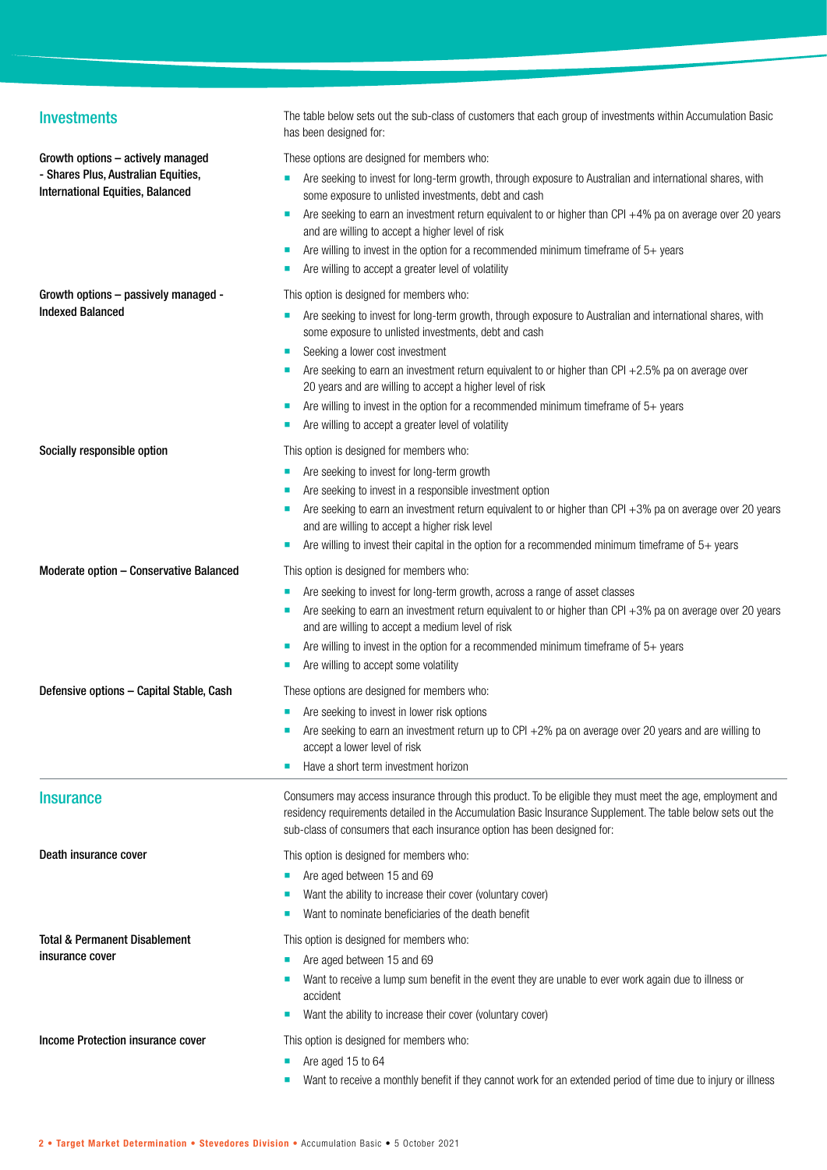| <b>Investments</b>                                                             | The table below sets out the sub-class of customers that each group of investments within Accumulation Basic<br>has been designed for:                                                                                                                                                                 |
|--------------------------------------------------------------------------------|--------------------------------------------------------------------------------------------------------------------------------------------------------------------------------------------------------------------------------------------------------------------------------------------------------|
| Growth options - actively managed                                              | These options are designed for members who:                                                                                                                                                                                                                                                            |
| - Shares Plus, Australian Equities,<br><b>International Equities, Balanced</b> | Are seeking to invest for long-term growth, through exposure to Australian and international shares, with<br>some exposure to unlisted investments, debt and cash                                                                                                                                      |
|                                                                                | Are seeking to earn an investment return equivalent to or higher than CPI +4% pa on average over 20 years<br>and are willing to accept a higher level of risk                                                                                                                                          |
|                                                                                | Are willing to invest in the option for a recommended minimum timeframe of $5+$ years                                                                                                                                                                                                                  |
|                                                                                | Are willing to accept a greater level of volatility                                                                                                                                                                                                                                                    |
| Growth options - passively managed -                                           | This option is designed for members who:                                                                                                                                                                                                                                                               |
| <b>Indexed Balanced</b>                                                        | Are seeking to invest for long-term growth, through exposure to Australian and international shares, with<br>п<br>some exposure to unlisted investments, debt and cash                                                                                                                                 |
|                                                                                | Seeking a lower cost investment                                                                                                                                                                                                                                                                        |
|                                                                                | Are seeking to earn an investment return equivalent to or higher than CPI $+2.5%$ pa on average over<br>20 years and are willing to accept a higher level of risk                                                                                                                                      |
|                                                                                | Are willing to invest in the option for a recommended minimum timeframe of $5+$ years                                                                                                                                                                                                                  |
|                                                                                | Are willing to accept a greater level of volatility                                                                                                                                                                                                                                                    |
| Socially responsible option                                                    | This option is designed for members who:                                                                                                                                                                                                                                                               |
|                                                                                | Are seeking to invest for long-term growth<br>a.                                                                                                                                                                                                                                                       |
|                                                                                | Are seeking to invest in a responsible investment option                                                                                                                                                                                                                                               |
|                                                                                | Are seeking to earn an investment return equivalent to or higher than CPI +3% pa on average over 20 years                                                                                                                                                                                              |
|                                                                                | and are willing to accept a higher risk level                                                                                                                                                                                                                                                          |
|                                                                                | Are willing to invest their capital in the option for a recommended minimum timeframe of $5+$ years                                                                                                                                                                                                    |
| Moderate option - Conservative Balanced                                        | This option is designed for members who:                                                                                                                                                                                                                                                               |
|                                                                                | Are seeking to invest for long-term growth, across a range of asset classes                                                                                                                                                                                                                            |
|                                                                                | Are seeking to earn an investment return equivalent to or higher than CPI +3% pa on average over 20 years<br>and are willing to accept a medium level of risk                                                                                                                                          |
|                                                                                | Are willing to invest in the option for a recommended minimum timeframe of 5+ years                                                                                                                                                                                                                    |
|                                                                                | Are willing to accept some volatility<br>ш                                                                                                                                                                                                                                                             |
| Defensive options - Capital Stable, Cash                                       | These options are designed for members who:                                                                                                                                                                                                                                                            |
|                                                                                | Are seeking to invest in lower risk options                                                                                                                                                                                                                                                            |
|                                                                                | Are seeking to earn an investment return up to CPI +2% pa on average over 20 years and are willing to                                                                                                                                                                                                  |
|                                                                                | accept a lower level of risk                                                                                                                                                                                                                                                                           |
|                                                                                | Have a short term investment horizon                                                                                                                                                                                                                                                                   |
| <b>Insurance</b>                                                               | Consumers may access insurance through this product. To be eligible they must meet the age, employment and<br>residency requirements detailed in the Accumulation Basic Insurance Supplement. The table below sets out the<br>sub-class of consumers that each insurance option has been designed for: |
| Death insurance cover                                                          | This option is designed for members who:                                                                                                                                                                                                                                                               |
|                                                                                | Are aged between 15 and 69                                                                                                                                                                                                                                                                             |
|                                                                                | Want the ability to increase their cover (voluntary cover)                                                                                                                                                                                                                                             |
|                                                                                | Want to nominate beneficiaries of the death benefit                                                                                                                                                                                                                                                    |
| Total & Permanent Disablement                                                  | This option is designed for members who:                                                                                                                                                                                                                                                               |
| insurance cover                                                                | Are aged between 15 and 69                                                                                                                                                                                                                                                                             |
|                                                                                | Want to receive a lump sum benefit in the event they are unable to ever work again due to illness or                                                                                                                                                                                                   |
|                                                                                | accident<br>Want the ability to increase their cover (voluntary cover)                                                                                                                                                                                                                                 |
| Income Protection insurance cover                                              | This option is designed for members who:                                                                                                                                                                                                                                                               |
|                                                                                | Are aged 15 to 64                                                                                                                                                                                                                                                                                      |
|                                                                                | Want to receive a monthly benefit if they cannot work for an extended period of time due to injury or illness                                                                                                                                                                                          |
|                                                                                |                                                                                                                                                                                                                                                                                                        |